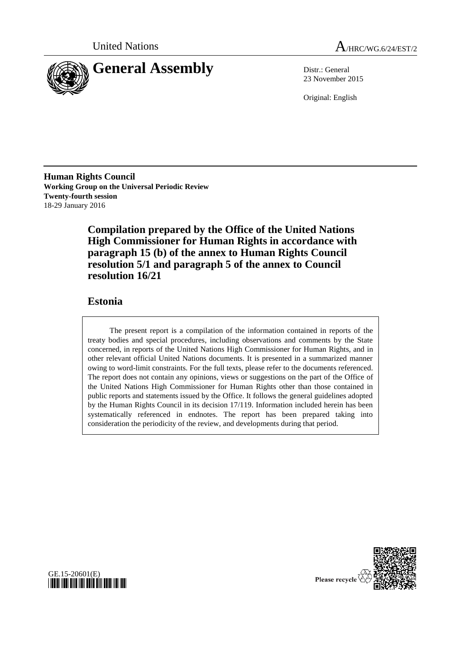



23 November 2015

Original: English

**Human Rights Council Working Group on the Universal Periodic Review Twenty-fourth session** 18-29 January 2016

> **Compilation prepared by the Office of the United Nations High Commissioner for Human Rights in accordance with paragraph 15 (b) of the annex to Human Rights Council resolution 5/1 and paragraph 5 of the annex to Council resolution 16/21**

# **Estonia**

GE.15-20601(E)

*\*1520601\**

The present report is a compilation of the information contained in reports of the treaty bodies and special procedures, including observations and comments by the State concerned, in reports of the United Nations High Commissioner for Human Rights, and in other relevant official United Nations documents. It is presented in a summarized manner owing to word-limit constraints. For the full texts, please refer to the documents referenced. The report does not contain any opinions, views or suggestions on the part of the Office of the United Nations High Commissioner for Human Rights other than those contained in public reports and statements issued by the Office. It follows the general guidelines adopted by the Human Rights Council in its decision 17/119. Information included herein has been systematically referenced in endnotes. The report has been prepared taking into consideration the periodicity of the review, and developments during that period.

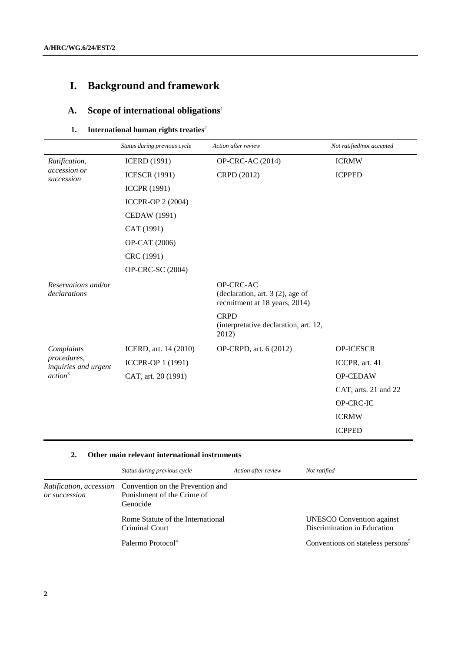# **I. Background and framework**

# **A. Scope of international obligations**<sup>1</sup>

### **1.** International human rights treaties<sup>2</sup>

|                                                                          | Status during previous cycle | Action after review                                                             | Not ratified/not accepted |
|--------------------------------------------------------------------------|------------------------------|---------------------------------------------------------------------------------|---------------------------|
| Ratification,                                                            | <b>ICERD</b> (1991)          | OP-CRC-AC (2014)                                                                | <b>ICRMW</b>              |
| accession or<br>succession                                               | <b>ICESCR (1991)</b>         | CRPD (2012)                                                                     | <b>ICPPED</b>             |
|                                                                          | <b>ICCPR (1991)</b>          |                                                                                 |                           |
|                                                                          | ICCPR-OP 2 (2004)            |                                                                                 |                           |
|                                                                          | CEDAW (1991)                 |                                                                                 |                           |
|                                                                          | CAT (1991)                   |                                                                                 |                           |
|                                                                          | OP-CAT (2006)                |                                                                                 |                           |
|                                                                          | CRC (1991)                   |                                                                                 |                           |
|                                                                          | OP-CRC-SC (2004)             |                                                                                 |                           |
| Reservations and/or<br>declarations                                      |                              | OP-CRC-AC<br>(declaration, art. 3 (2), age of<br>recruitment at 18 years, 2014) |                           |
|                                                                          |                              | <b>CRPD</b><br>(interpretative declaration, art. 12,<br>2012)                   |                           |
| Complaints<br>procedures,<br>inquiries and urgent<br>action <sup>3</sup> | ICERD, art. 14 (2010)        | OP-CRPD, art. 6 (2012)                                                          | OP-ICESCR                 |
|                                                                          | ICCPR-OP 1 (1991)            |                                                                                 | ICCPR, art. 41            |
|                                                                          | CAT, art. 20 (1991)          |                                                                                 | OP-CEDAW                  |
|                                                                          |                              |                                                                                 | CAT, arts. 21 and 22      |
|                                                                          |                              |                                                                                 | OP-CRC-IC                 |
|                                                                          |                              |                                                                                 | <b>ICRMW</b>              |
|                                                                          |                              |                                                                                 | <b>ICPPED</b>             |

## **2. Other main relevant international instruments**

|               | Status during previous cycle                                                                       | Action after review | Not ratified                                                    |
|---------------|----------------------------------------------------------------------------------------------------|---------------------|-----------------------------------------------------------------|
| or succession | Ratification, accession Convention on the Prevention and<br>Punishment of the Crime of<br>Genocide |                     |                                                                 |
|               | Rome Statute of the International<br>Criminal Court                                                |                     | <b>UNESCO</b> Convention against<br>Discrimination in Education |
|               | Palermo Protocol <sup>4</sup>                                                                      |                     | Conventions on stateless persons <sup>5</sup>                   |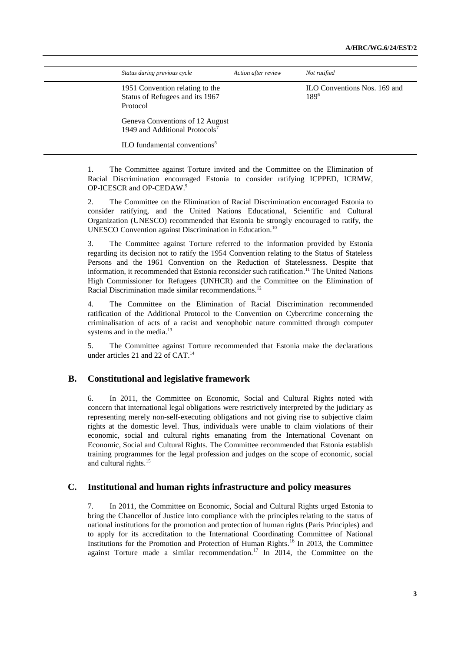| Status during previous cycle                                                   | Action after review | Not ratified                              |
|--------------------------------------------------------------------------------|---------------------|-------------------------------------------|
| 1951 Convention relating to the<br>Status of Refugees and its 1967<br>Protocol |                     | ILO Conventions Nos. 169 and<br>$189^{6}$ |
| Geneva Conventions of 12 August<br>1949 and Additional Protocols <sup>7</sup>  |                     |                                           |
| ILO fundamental conventions <sup>8</sup>                                       |                     |                                           |

1. The Committee against Torture invited and the Committee on the Elimination of Racial Discrimination encouraged Estonia to consider ratifying ICPPED, ICRMW, OP-ICESCR and OP-CEDAW.<sup>9</sup>

2. The Committee on the Elimination of Racial Discrimination encouraged Estonia to consider ratifying, and the United Nations Educational, Scientific and Cultural Organization (UNESCO) recommended that Estonia be strongly encouraged to ratify, the UNESCO Convention against Discrimination in Education.<sup>10</sup>

3. The Committee against Torture referred to the information provided by Estonia regarding its decision not to ratify the 1954 Convention relating to the Status of Stateless Persons and the 1961 Convention on the Reduction of Statelessness. Despite that information, it recommended that Estonia reconsider such ratification. <sup>11</sup> The United Nations High Commissioner for Refugees (UNHCR) and the Committee on the Elimination of Racial Discrimination made similar recommendations.<sup>12</sup>

4. The Committee on the Elimination of Racial Discrimination recommended ratification of the Additional Protocol to the Convention on Cybercrime concerning the criminalisation of acts of a racist and xenophobic nature committed through computer systems and in the media.<sup>13</sup>

5. The Committee against Torture recommended that Estonia make the declarations under articles 21 and 22 of CAT.<sup>14</sup>

### **B. Constitutional and legislative framework**

6. In 2011, the Committee on Economic, Social and Cultural Rights noted with concern that international legal obligations were restrictively interpreted by the judiciary as representing merely non-self-executing obligations and not giving rise to subjective claim rights at the domestic level. Thus, individuals were unable to claim violations of their economic, social and cultural rights emanating from the International Covenant on Economic, Social and Cultural Rights. The Committee recommended that Estonia establish training programmes for the legal profession and judges on the scope of economic, social and cultural rights. 15

### **C. Institutional and human rights infrastructure and policy measures**

7. In 2011, the Committee on Economic, Social and Cultural Rights urged Estonia to bring the Chancellor of Justice into compliance with the principles relating to the status of national institutions for the promotion and protection of human rights (Paris Principles) and to apply for its accreditation to the International Coordinating Committee of National Institutions for the Promotion and Protection of Human Rights. <sup>16</sup> In 2013, the Committee against Torture made a similar recommendation.<sup>17</sup> In 2014, the Committee on the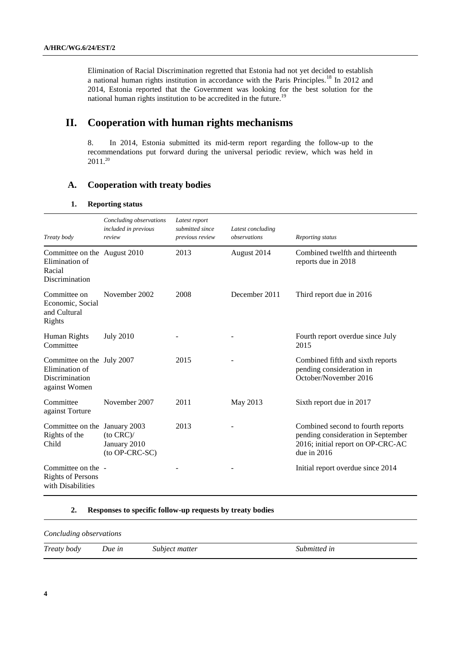Elimination of Racial Discrimination regretted that Estonia had not yet decided to establish a national human rights institution in accordance with the Paris Principles.<sup>18</sup> In 2012 and 2014, Estonia reported that the Government was looking for the best solution for the national human rights institution to be accredited in the future.<sup>19</sup>

# **II. Cooperation with human rights mechanisms**

8. In 2014, Estonia submitted its mid-term report regarding the follow-up to the recommendations put forward during the universal periodic review, which was held in 2011.<sup>20</sup>

## **A. Cooperation with treaty bodies**

### **1. Reporting status**

| Treaty body                                                                     | Concluding observations<br>included in previous<br>review | Latest report<br>submitted since<br>previous review | Latest concluding<br>observations | Reporting status                                                                                                            |
|---------------------------------------------------------------------------------|-----------------------------------------------------------|-----------------------------------------------------|-----------------------------------|-----------------------------------------------------------------------------------------------------------------------------|
| Committee on the August 2010<br>Elimination of<br>Racial<br>Discrimination      |                                                           | 2013                                                | August 2014                       | Combined twelfth and thirteenth<br>reports due in 2018                                                                      |
| Committee on<br>Economic, Social<br>and Cultural<br>Rights                      | November 2002                                             | 2008                                                | December 2011                     | Third report due in 2016                                                                                                    |
| Human Rights<br>Committee                                                       | <b>July 2010</b>                                          |                                                     |                                   | Fourth report overdue since July<br>2015                                                                                    |
| Committee on the July 2007<br>Elimination of<br>Discrimination<br>against Women |                                                           | 2015                                                |                                   | Combined fifth and sixth reports<br>pending consideration in<br>October/November 2016                                       |
| Committee<br>against Torture                                                    | November 2007                                             | 2011                                                | May 2013                          | Sixth report due in 2017                                                                                                    |
| Committee on the January 2003<br>Rights of the<br>Child                         | $(to$ $CRC$ $)/$<br>January 2010<br>(to OP-CRC-SC)        | 2013                                                |                                   | Combined second to fourth reports<br>pending consideration in September<br>2016; initial report on OP-CRC-AC<br>due in 2016 |
| Committee on the -<br><b>Rights of Persons</b><br>with Disabilities             |                                                           |                                                     |                                   | Initial report overdue since 2014                                                                                           |

### **2. Responses to specific follow-up requests by treaty bodies**

| Concluding observations |        |                |              |  |
|-------------------------|--------|----------------|--------------|--|
| Treaty body             | Due in | Subject matter | Submitted in |  |
|                         |        |                |              |  |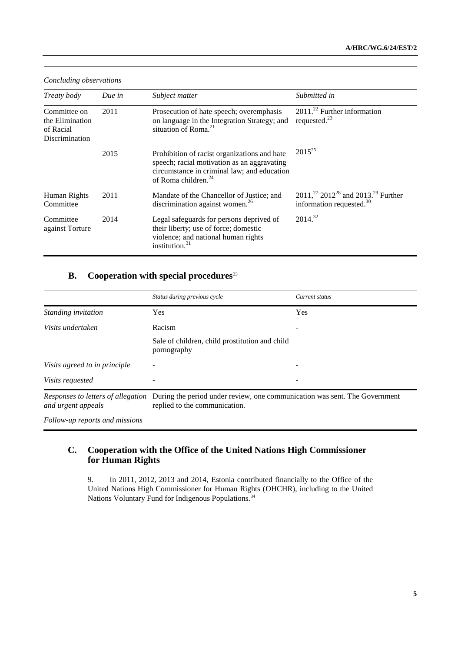#### *Concluding observations*

| Treaty body                                                    | Due in | Subject matter                                                                                                                                                          | Submitted in                                                                                             |
|----------------------------------------------------------------|--------|-------------------------------------------------------------------------------------------------------------------------------------------------------------------------|----------------------------------------------------------------------------------------------------------|
| Committee on<br>the Elimination<br>of Racial<br>Discrimination | 2011   | Prosecution of hate speech; overemphasis<br>on language in the Integration Strategy; and<br>situation of Roma. <sup>21</sup>                                            | $2011^{22}$ Further information<br>requested. $^{23}$                                                    |
|                                                                | 2015   | Prohibition of racist organizations and hate<br>speech; racial motivation as an aggravating<br>circumstance in criminal law; and education<br>of Roma children. $^{24}$ | $2015^{25}$                                                                                              |
| Human Rights<br>Committee                                      | 2011   | Mandate of the Chancellor of Justice; and<br>discrimination against women. $^{26}$                                                                                      | $2011$ , <sup>27</sup> 2012 <sup>28</sup> and 2013. <sup>29</sup> Further<br>information requested. $30$ |
| Committee<br>against Torture                                   | 2014   | Legal safeguards for persons deprived of<br>their liberty; use of force; domestic<br>violence; and national human rights<br>institution. <sup>31</sup>                  | 2014. <sup>32</sup>                                                                                      |

# **B. Cooperation with special procedures**<sup>33</sup>

|                               | Status during previous cycle                                                                                                                   | Current status |
|-------------------------------|------------------------------------------------------------------------------------------------------------------------------------------------|----------------|
| Standing invitation           | <b>Yes</b>                                                                                                                                     | <b>Yes</b>     |
| Visits undertaken             | Racism                                                                                                                                         |                |
|                               | Sale of children, child prostitution and child<br>pornography                                                                                  |                |
| Visits agreed to in principle |                                                                                                                                                |                |
| Visits requested              |                                                                                                                                                |                |
| and urgent appeals            | Responses to letters of allegation During the period under review, one communication was sent. The Government<br>replied to the communication. |                |

*Follow-up reports and missions*

# **C. Cooperation with the Office of the United Nations High Commissioner for Human Rights**

9. In 2011, 2012, 2013 and 2014, Estonia contributed financially to the Office of the United Nations High Commissioner for Human Rights (OHCHR), including to the United Nations Voluntary Fund for Indigenous Populations.<sup>34</sup>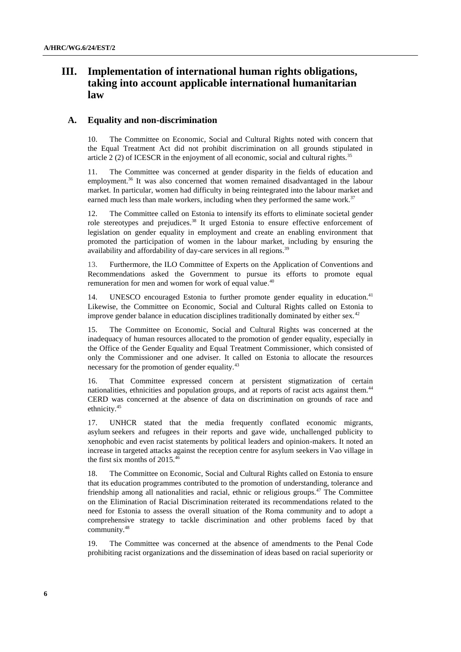# **III. Implementation of international human rights obligations, taking into account applicable international humanitarian law**

### **A. Equality and non-discrimination**

The Committee on Economic, Social and Cultural Rights noted with concern that the Equal Treatment Act did not prohibit discrimination on all grounds stipulated in article 2 (2) of ICESCR in the enjoyment of all economic, social and cultural rights.<sup>35</sup>

The Committee was concerned at gender disparity in the fields of education and employment.<sup>36</sup> It was also concerned that women remained disadvantaged in the labour market. In particular, women had difficulty in being reintegrated into the labour market and earned much less than male workers, including when they performed the same work. $37$ 

12. The Committee called on Estonia to intensify its efforts to eliminate societal gender role stereotypes and prejudices.<sup>38</sup> It urged Estonia to ensure effective enforcement of legislation on gender equality in employment and create an enabling environment that promoted the participation of women in the labour market, including by ensuring the availability and affordability of day-care services in all regions.<sup>39</sup>

13. Furthermore, the ILO Committee of Experts on the Application of Conventions and Recommendations asked the Government to pursue its efforts to promote equal remuneration for men and women for work of equal value.<sup>40</sup>

14. UNESCO encouraged Estonia to further promote gender equality in education.<sup>41</sup> Likewise, the Committee on Economic, Social and Cultural Rights called on Estonia to improve gender balance in education disciplines traditionally dominated by either sex. $42$ 

15. The Committee on Economic, Social and Cultural Rights was concerned at the inadequacy of human resources allocated to the promotion of gender equality, especially in the Office of the Gender Equality and Equal Treatment Commissioner, which consisted of only the Commissioner and one adviser. It called on Estonia to allocate the resources necessary for the promotion of gender equality.<sup>43</sup>

16. That Committee expressed concern at persistent stigmatization of certain nationalities, ethnicities and population groups, and at reports of racist acts against them.<sup>44</sup> CERD was concerned at the absence of data on discrimination on grounds of race and ethnicity.<sup>45</sup>

17. UNHCR stated that the media frequently conflated economic migrants, asylum seekers and refugees in their reports and gave wide, unchallenged publicity to xenophobic and even racist statements by political leaders and opinion-makers. It noted an increase in targeted attacks against the reception centre for asylum seekers in Vao village in the first six months of 2015.<sup>46</sup>

18. The Committee on Economic, Social and Cultural Rights called on Estonia to ensure that its education programmes contributed to the promotion of understanding, tolerance and friendship among all nationalities and racial, ethnic or religious groups. $47$  The Committee on the Elimination of Racial Discrimination reiterated its recommendations related to the need for Estonia to assess the overall situation of the Roma community and to adopt a comprehensive strategy to tackle discrimination and other problems faced by that community.<sup>48</sup>

19. The Committee was concerned at the absence of amendments to the Penal Code prohibiting racist organizations and the dissemination of ideas based on racial superiority or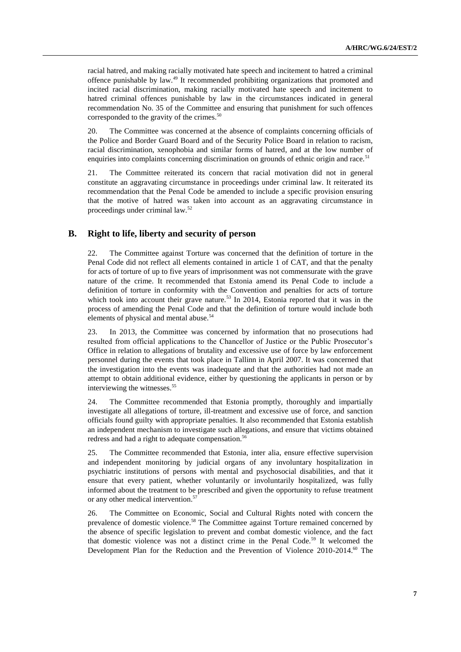racial hatred, and making racially motivated hate speech and incitement to hatred a criminal offence punishable by law.<sup>49</sup> It recommended prohibiting organizations that promoted and incited racial discrimination, making racially motivated hate speech and incitement to hatred criminal offences punishable by law in the circumstances indicated in general recommendation No. 35 of the Committee and ensuring that punishment for such offences corresponded to the gravity of the crimes.<sup>50</sup>

20. The Committee was concerned at the absence of complaints concerning officials of the Police and Border Guard Board and of the Security Police Board in relation to racism, racial discrimination, xenophobia and similar forms of hatred, and at the low number of enquiries into complaints concerning discrimination on grounds of ethnic origin and race.<sup>51</sup>

21. The Committee reiterated its concern that racial motivation did not in general constitute an aggravating circumstance in proceedings under criminal law. It reiterated its recommendation that the Penal Code be amended to include a specific provision ensuring that the motive of hatred was taken into account as an aggravating circumstance in proceedings under criminal law.<sup>52</sup>

### **B. Right to life, liberty and security of person**

22. The Committee against Torture was concerned that the definition of torture in the Penal Code did not reflect all elements contained in article 1 of CAT, and that the penalty for acts of torture of up to five years of imprisonment was not commensurate with the grave nature of the crime. It recommended that Estonia amend its Penal Code to include a definition of torture in conformity with the Convention and penalties for acts of torture which took into account their grave nature.<sup>53</sup> In 2014, Estonia reported that it was in the process of amending the Penal Code and that the definition of torture would include both elements of physical and mental abuse.<sup>54</sup>

23. In 2013, the Committee was concerned by information that no prosecutions had resulted from official applications to the Chancellor of Justice or the Public Prosecutor's Office in relation to allegations of brutality and excessive use of force by law enforcement personnel during the events that took place in Tallinn in April 2007. It was concerned that the investigation into the events was inadequate and that the authorities had not made an attempt to obtain additional evidence, either by questioning the applicants in person or by interviewing the witnesses. 55

24. The Committee recommended that Estonia promptly, thoroughly and impartially investigate all allegations of torture, ill-treatment and excessive use of force, and sanction officials found guilty with appropriate penalties. It also recommended that Estonia establish an independent mechanism to investigate such allegations, and ensure that victims obtained redress and had a right to adequate compensation.<sup>56</sup>

25. The Committee recommended that Estonia, inter alia, ensure effective supervision and independent monitoring by judicial organs of any involuntary hospitalization in psychiatric institutions of persons with mental and psychosocial disabilities, and that it ensure that every patient, whether voluntarily or involuntarily hospitalized, was fully informed about the treatment to be prescribed and given the opportunity to refuse treatment or any other medical intervention. 57

26. The Committee on Economic, Social and Cultural Rights noted with concern the prevalence of domestic violence.<sup>58</sup> The Committee against Torture remained concerned by the absence of specific legislation to prevent and combat domestic violence, and the fact that domestic violence was not a distinct crime in the Penal Code.<sup>59</sup> It welcomed the Development Plan for the Reduction and the Prevention of Violence 2010-2014.<sup>60</sup> The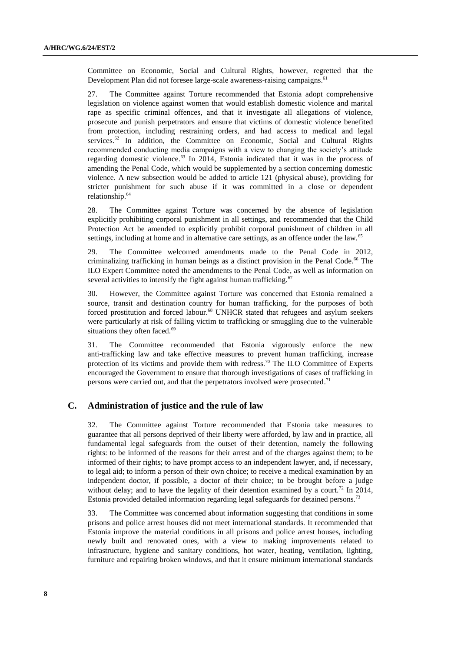Committee on Economic, Social and Cultural Rights, however, regretted that the Development Plan did not foresee large-scale awareness-raising campaigns.<sup>61</sup>

27. The Committee against Torture recommended that Estonia adopt comprehensive legislation on violence against women that would establish domestic violence and marital rape as specific criminal offences, and that it investigate all allegations of violence, prosecute and punish perpetrators and ensure that victims of domestic violence benefited from protection, including restraining orders, and had access to medical and legal services. $62$  In addition, the Committee on Economic, Social and Cultural Rights recommended conducting media campaigns with a view to changing the society's attitude regarding domestic violence. <sup>63</sup> In 2014, Estonia indicated that it was in the process of amending the Penal Code, which would be supplemented by a section concerning domestic violence. A new subsection would be added to article 121 (physical abuse), providing for stricter punishment for such abuse if it was committed in a close or dependent relationship.<sup>64</sup>

28. The Committee against Torture was concerned by the absence of legislation explicitly prohibiting corporal punishment in all settings, and recommended that the Child Protection Act be amended to explicitly prohibit corporal punishment of children in all settings, including at home and in alternative care settings, as an offence under the law.<sup>65</sup>

29. The Committee welcomed amendments made to the Penal Code in 2012, criminalizing trafficking in human beings as a distinct provision in the Penal Code.<sup>66</sup> The ILO Expert Committee noted the amendments to the Penal Code, as well as information on several activities to intensify the fight against human trafficking.<sup>67</sup>

30. However, the Committee against Torture was concerned that Estonia remained a source, transit and destination country for human trafficking, for the purposes of both forced prostitution and forced labour.<sup>68</sup> UNHCR stated that refugees and asylum seekers were particularly at risk of falling victim to trafficking or smuggling due to the vulnerable situations they often faced.<sup>69</sup>

31. The Committee recommended that Estonia vigorously enforce the new anti-trafficking law and take effective measures to prevent human trafficking, increase protection of its victims and provide them with redress.<sup>70</sup> The ILO Committee of Experts encouraged the Government to ensure that thorough investigations of cases of trafficking in persons were carried out, and that the perpetrators involved were prosecuted.<sup>71</sup>

### **C. Administration of justice and the rule of law**

32. The Committee against Torture recommended that Estonia take measures to guarantee that all persons deprived of their liberty were afforded, by law and in practice, all fundamental legal safeguards from the outset of their detention, namely the following rights: to be informed of the reasons for their arrest and of the charges against them; to be informed of their rights; to have prompt access to an independent lawyer, and, if necessary, to legal aid; to inform a person of their own choice; to receive a medical examination by an independent doctor, if possible, a doctor of their choice; to be brought before a judge without delay; and to have the legality of their detention examined by a court.<sup>72</sup> In 2014, Estonia provided detailed information regarding legal safeguards for detained persons.<sup>73</sup>

33. The Committee was concerned about information suggesting that conditions in some prisons and police arrest houses did not meet international standards. It recommended that Estonia improve the material conditions in all prisons and police arrest houses, including newly built and renovated ones, with a view to making improvements related to infrastructure, hygiene and sanitary conditions, hot water, heating, ventilation, lighting, furniture and repairing broken windows, and that it ensure minimum international standards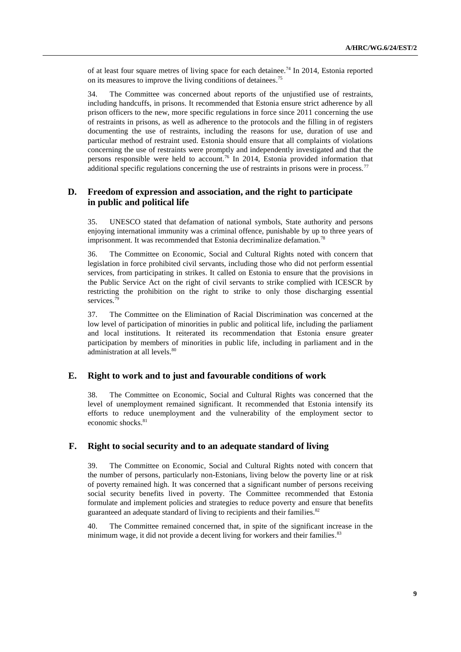of at least four square metres of living space for each detainee.<sup>74</sup> In 2014, Estonia reported on its measures to improve the living conditions of detainees.<sup>75</sup>

34. The Committee was concerned about reports of the unjustified use of restraints, including handcuffs, in prisons. It recommended that Estonia ensure strict adherence by all prison officers to the new, more specific regulations in force since 2011 concerning the use of restraints in prisons, as well as adherence to the protocols and the filling in of registers documenting the use of restraints, including the reasons for use, duration of use and particular method of restraint used. Estonia should ensure that all complaints of violations concerning the use of restraints were promptly and independently investigated and that the persons responsible were held to account.<sup>76</sup> In 2014, Estonia provided information that additional specific regulations concerning the use of restraints in prisons were in process.<sup>77</sup>

### **D. Freedom of expression and association, and the right to participate in public and political life**

35. UNESCO stated that defamation of national symbols, State authority and persons enjoying international immunity was a criminal offence, punishable by up to three years of imprisonment. It was recommended that Estonia decriminalize defamation.<sup>78</sup>

36. The Committee on Economic, Social and Cultural Rights noted with concern that legislation in force prohibited civil servants, including those who did not perform essential services, from participating in strikes. It called on Estonia to ensure that the provisions in the Public Service Act on the right of civil servants to strike complied with ICESCR by restricting the prohibition on the right to strike to only those discharging essential services.<sup>79</sup>

37. The Committee on the Elimination of Racial Discrimination was concerned at the low level of participation of minorities in public and political life, including the parliament and local institutions. It reiterated its recommendation that Estonia ensure greater participation by members of minorities in public life, including in parliament and in the administration at all levels. 80

### **E. Right to work and to just and favourable conditions of work**

38. The Committee on Economic, Social and Cultural Rights was concerned that the level of unemployment remained significant. It recommended that Estonia intensify its efforts to reduce unemployment and the vulnerability of the employment sector to economic shocks. 81

### **F. Right to social security and to an adequate standard of living**

39. The Committee on Economic, Social and Cultural Rights noted with concern that the number of persons, particularly non-Estonians, living below the poverty line or at risk of poverty remained high. It was concerned that a significant number of persons receiving social security benefits lived in poverty. The Committee recommended that Estonia formulate and implement policies and strategies to reduce poverty and ensure that benefits guaranteed an adequate standard of living to recipients and their families.<sup>82</sup>

40. The Committee remained concerned that, in spite of the significant increase in the minimum wage, it did not provide a decent living for workers and their families.<sup>83</sup>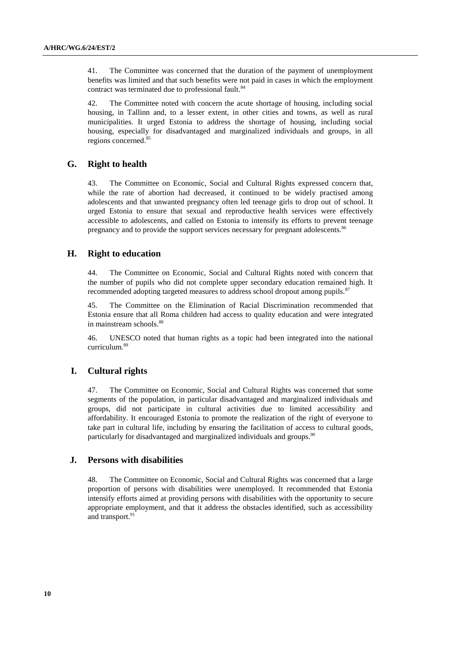41. The Committee was concerned that the duration of the payment of unemployment benefits was limited and that such benefits were not paid in cases in which the employment contract was terminated due to professional fault.<sup>84</sup>

42. The Committee noted with concern the acute shortage of housing, including social housing, in Tallinn and, to a lesser extent, in other cities and towns, as well as rural municipalities. It urged Estonia to address the shortage of housing, including social housing, especially for disadvantaged and marginalized individuals and groups, in all regions concerned. 85

### **G. Right to health**

43. The Committee on Economic, Social and Cultural Rights expressed concern that, while the rate of abortion had decreased, it continued to be widely practised among adolescents and that unwanted pregnancy often led teenage girls to drop out of school. It urged Estonia to ensure that sexual and reproductive health services were effectively accessible to adolescents, and called on Estonia to intensify its efforts to prevent teenage pregnancy and to provide the support services necessary for pregnant adolescents.<sup>86</sup>

#### **H. Right to education**

44. The Committee on Economic, Social and Cultural Rights noted with concern that the number of pupils who did not complete upper secondary education remained high. It recommended adopting targeted measures to address school dropout among pupils.<sup>87</sup>

45. The Committee on the Elimination of Racial Discrimination recommended that Estonia ensure that all Roma children had access to quality education and were integrated in mainstream schools.<sup>88</sup>

46. UNESCO noted that human rights as a topic had been integrated into the national curriculum.<sup>89</sup>

### **I. Cultural rights**

47. The Committee on Economic, Social and Cultural Rights was concerned that some segments of the population, in particular disadvantaged and marginalized individuals and groups, did not participate in cultural activities due to limited accessibility and affordability. It encouraged Estonia to promote the realization of the right of everyone to take part in cultural life, including by ensuring the facilitation of access to cultural goods, particularly for disadvantaged and marginalized individuals and groups.<sup>90</sup>

### **J. Persons with disabilities**

48. The Committee on Economic, Social and Cultural Rights was concerned that a large proportion of persons with disabilities were unemployed. It recommended that Estonia intensify efforts aimed at providing persons with disabilities with the opportunity to secure appropriate employment, and that it address the obstacles identified, such as accessibility and transport.<sup>91</sup>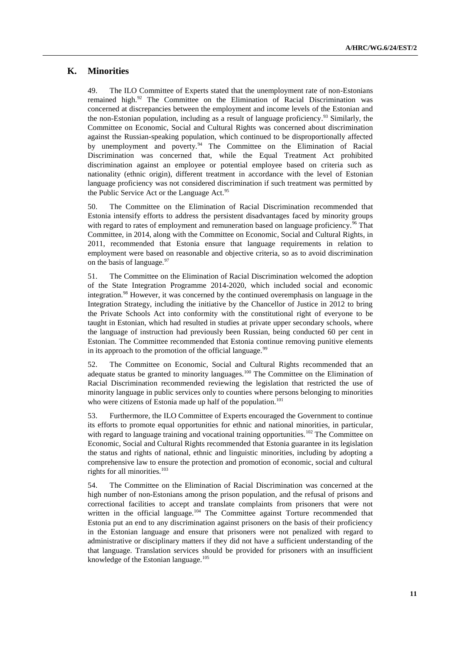### **K. Minorities**

49. The ILO Committee of Experts stated that the unemployment rate of non-Estonians remained high.<sup>92</sup> The Committee on the Elimination of Racial Discrimination was concerned at discrepancies between the employment and income levels of the Estonian and the non-Estonian population, including as a result of language proficiency. <sup>93</sup> Similarly, the Committee on Economic, Social and Cultural Rights was concerned about discrimination against the Russian-speaking population, which continued to be disproportionally affected by unemployment and poverty.<sup>94</sup> The Committee on the Elimination of Racial Discrimination was concerned that, while the Equal Treatment Act prohibited discrimination against an employee or potential employee based on criteria such as nationality (ethnic origin), different treatment in accordance with the level of Estonian language proficiency was not considered discrimination if such treatment was permitted by the Public Service Act or the Language Act.<sup>95</sup>

50. The Committee on the Elimination of Racial Discrimination recommended that Estonia intensify efforts to address the persistent disadvantages faced by minority groups with regard to rates of employment and remuneration based on language proficiency.<sup>96</sup> That Committee, in 2014, along with the Committee on Economic, Social and Cultural Rights, in 2011, recommended that Estonia ensure that language requirements in relation to employment were based on reasonable and objective criteria, so as to avoid discrimination on the basis of language. $97$ 

51. The Committee on the Elimination of Racial Discrimination welcomed the adoption of the State Integration Programme 2014-2020, which included social and economic integration.<sup>98</sup> However, it was concerned by the continued overemphasis on language in the Integration Strategy, including the initiative by the Chancellor of Justice in 2012 to bring the Private Schools Act into conformity with the constitutional right of everyone to be taught in Estonian, which had resulted in studies at private upper secondary schools, where the language of instruction had previously been Russian, being conducted 60 per cent in Estonian. The Committee recommended that Estonia continue removing punitive elements in its approach to the promotion of the official language.<sup>99</sup>

52. The Committee on Economic, Social and Cultural Rights recommended that an adequate status be granted to minority languages.<sup>100</sup> The Committee on the Elimination of Racial Discrimination recommended reviewing the legislation that restricted the use of minority language in public services only to counties where persons belonging to minorities who were citizens of Estonia made up half of the population.<sup>101</sup>

53. Furthermore, the ILO Committee of Experts encouraged the Government to continue its efforts to promote equal opportunities for ethnic and national minorities, in particular, with regard to language training and vocational training opportunities.<sup>102</sup> The Committee on Economic, Social and Cultural Rights recommended that Estonia guarantee in its legislation the status and rights of national, ethnic and linguistic minorities, including by adopting a comprehensive law to ensure the protection and promotion of economic, social and cultural rights for all minorities.<sup>103</sup>

54. The Committee on the Elimination of Racial Discrimination was concerned at the high number of non-Estonians among the prison population, and the refusal of prisons and correctional facilities to accept and translate complaints from prisoners that were not written in the official language.<sup>104</sup> The Committee against Torture recommended that Estonia put an end to any discrimination against prisoners on the basis of their proficiency in the Estonian language and ensure that prisoners were not penalized with regard to administrative or disciplinary matters if they did not have a sufficient understanding of the that language. Translation services should be provided for prisoners with an insufficient knowledge of the Estonian language.<sup>105</sup>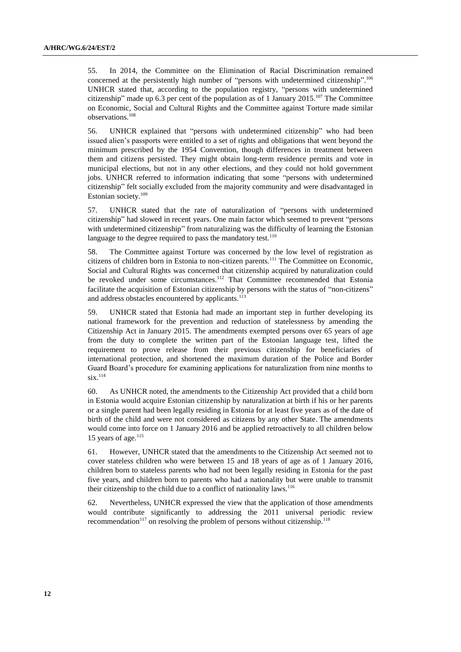55. In 2014, the Committee on the Elimination of Racial Discrimination remained concerned at the persistently high number of "persons with undetermined citizenship".<sup>106</sup> UNHCR stated that, according to the population registry, "persons with undetermined citizenship" made up 6.3 per cent of the population as of 1 January  $2015$ .<sup>107</sup> The Committee on Economic, Social and Cultural Rights and the Committee against Torture made similar observations. 108

56. UNHCR explained that "persons with undetermined citizenship" who had been issued alien's passports were entitled to a set of rights and obligations that went beyond the minimum prescribed by the 1954 Convention, though differences in treatment between them and citizens persisted. They might obtain long-term residence permits and vote in municipal elections, but not in any other elections, and they could not hold government jobs. UNHCR referred to information indicating that some "persons with undetermined citizenship" felt socially excluded from the majority community and were disadvantaged in Estonian society.<sup>109</sup>

57. UNHCR stated that the rate of naturalization of "persons with undetermined citizenship" had slowed in recent years. One main factor which seemed to prevent "persons with undetermined citizenship" from naturalizing was the difficulty of learning the Estonian language to the degree required to pass the mandatory test.<sup>110</sup>

58. The Committee against Torture was concerned by the low level of registration as citizens of children born in Estonia to non-citizen parents.<sup>111</sup> The Committee on Economic, Social and Cultural Rights was concerned that citizenship acquired by naturalization could be revoked under some circumstances.<sup>112</sup> That Committee recommended that Estonia facilitate the acquisition of Estonian citizenship by persons with the status of "non-citizens" and address obstacles encountered by applicants.<sup>113</sup>

59. UNHCR stated that Estonia had made an important step in further developing its national framework for the prevention and reduction of statelessness by amending the Citizenship Act in January 2015. The amendments exempted persons over 65 years of age from the duty to complete the written part of the Estonian language test, lifted the requirement to prove release from their previous citizenship for beneficiaries of international protection, and shortened the maximum duration of the Police and Border Guard Board's procedure for examining applications for naturalization from nine months to six. 114

60. As UNHCR noted, the amendments to the Citizenship Act provided that a child born in Estonia would acquire Estonian citizenship by naturalization at birth if his or her parents or a single parent had been legally residing in Estonia for at least five years as of the date of birth of the child and were not considered as citizens by any other State. The amendments would come into force on 1 January 2016 and be applied retroactively to all children below 15 years of age.<sup>115</sup>

61. However, UNHCR stated that the amendments to the Citizenship Act seemed not to cover stateless children who were between 15 and 18 years of age as of 1 January 2016, children born to stateless parents who had not been legally residing in Estonia for the past five years, and children born to parents who had a nationality but were unable to transmit their citizenship to the child due to a conflict of nationality laws.<sup>116</sup>

62. Nevertheless, UNHCR expressed the view that the application of those amendments would contribute significantly to addressing the 2011 universal periodic review recommendation<sup>117</sup> on resolving the problem of persons without citizenship.<sup>118</sup>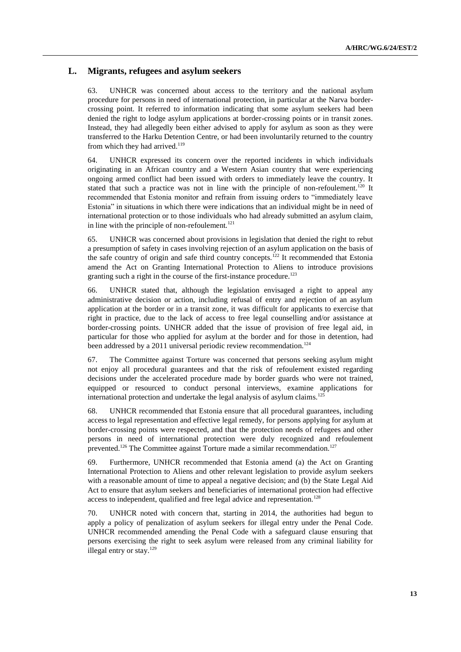### **L. Migrants, refugees and asylum seekers**

63. UNHCR was concerned about access to the territory and the national asylum procedure for persons in need of international protection, in particular at the Narva bordercrossing point. It referred to information indicating that some asylum seekers had been denied the right to lodge asylum applications at border-crossing points or in transit zones. Instead, they had allegedly been either advised to apply for asylum as soon as they were transferred to the Harku Detention Centre, or had been involuntarily returned to the country from which they had arrived. $119$ 

64. UNHCR expressed its concern over the reported incidents in which individuals originating in an African country and a Western Asian country that were experiencing ongoing armed conflict had been issued with orders to immediately leave the country. It stated that such a practice was not in line with the principle of non-refoulement.<sup>120</sup> It recommended that Estonia monitor and refrain from issuing orders to "immediately leave Estonia" in situations in which there were indications that an individual might be in need of international protection or to those individuals who had already submitted an asylum claim, in line with the principle of non-refoulement*.* 121

65. UNHCR was concerned about provisions in legislation that denied the right to rebut a presumption of safety in cases involving rejection of an asylum application on the basis of the safe country of origin and safe third country concepts.<sup>122</sup> It recommended that Estonia amend the Act on Granting International Protection to Aliens to introduce provisions granting such a right in the course of the first-instance procedure.<sup>123</sup>

66. UNHCR stated that, although the legislation envisaged a right to appeal any administrative decision or action, including refusal of entry and rejection of an asylum application at the border or in a transit zone, it was difficult for applicants to exercise that right in practice, due to the lack of access to free legal counselling and/or assistance at border-crossing points. UNHCR added that the issue of provision of free legal aid, in particular for those who applied for asylum at the border and for those in detention, had been addressed by a 2011 universal periodic review recommendation.<sup>124</sup>

67. The Committee against Torture was concerned that persons seeking asylum might not enjoy all procedural guarantees and that the risk of refoulement existed regarding decisions under the accelerated procedure made by border guards who were not trained, equipped or resourced to conduct personal interviews, examine applications for international protection and undertake the legal analysis of asylum claims.<sup>125</sup>

68. UNHCR recommended that Estonia ensure that all procedural guarantees, including access to legal representation and effective legal remedy, for persons applying for asylum at border-crossing points were respected, and that the protection needs of refugees and other persons in need of international protection were duly recognized and refoulement prevented.<sup>126</sup> The Committee against Torture made a similar recommendation.<sup>127</sup>

69. Furthermore, UNHCR recommended that Estonia amend (a) the Act on Granting International Protection to Aliens and other relevant legislation to provide asylum seekers with a reasonable amount of time to appeal a negative decision; and (b) the State Legal Aid Act to ensure that asylum seekers and beneficiaries of international protection had effective access to independent, qualified and free legal advice and representation.<sup>128</sup>

70. UNHCR noted with concern that, starting in 2014, the authorities had begun to apply a policy of penalization of asylum seekers for illegal entry under the Penal Code. UNHCR recommended amending the Penal Code with a safeguard clause ensuring that persons exercising the right to seek asylum were released from any criminal liability for illegal entry or stay. $129$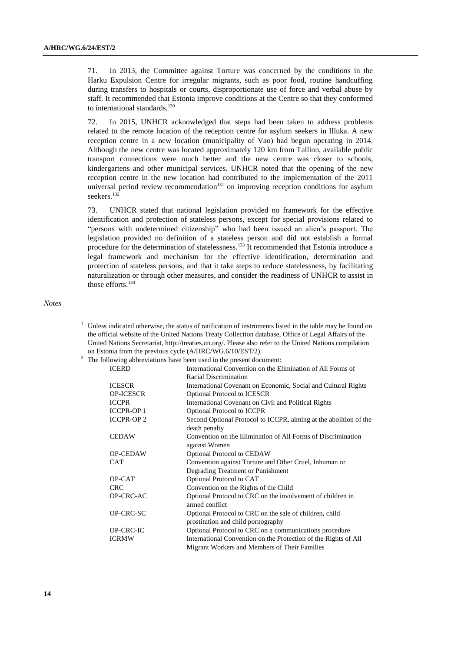71. In 2013, the Committee against Torture was concerned by the conditions in the Harku Expulsion Centre for irregular migrants, such as poor food, routine handcuffing during transfers to hospitals or courts, disproportionate use of force and verbal abuse by staff. It recommended that Estonia improve conditions at the Centre so that they conformed to international standards.<sup>130</sup>

72. In 2015, UNHCR acknowledged that steps had been taken to address problems related to the remote location of the reception centre for asylum seekers in Illuka. A new reception centre in a new location (municipality of Vao) had begun operating in 2014. Although the new centre was located approximately 120 km from Tallinn, available public transport connections were much better and the new centre was closer to schools, kindergartens and other municipal services. UNHCR noted that the opening of the new reception centre in the new location had contributed to the implementation of the 2011 universal period review recommendation $131$  on improving reception conditions for asylum seekers. 132

73. UNHCR stated that national legislation provided no framework for the effective identification and protection of stateless persons, except for special provisions related to "persons with undetermined citizenship" who had been issued an alien's passport. The legislation provided no definition of a stateless person and did not establish a formal procedure for the determination of statelessness.<sup>133</sup> It recommended that Estonia introduce a legal framework and mechanism for the effective identification, determination and protection of stateless persons, and that it take steps to reduce statelessness, by facilitating naturalization or through other measures, and consider the readiness of UNHCR to assist in those efforts.<sup>134</sup>

*Notes*

- $1$  Unless indicated otherwise, the status of ratification of instruments listed in the table may be found on the official website of the United Nations Treaty Collection database, Office of Legal Affairs of the United Nations Secretariat, [http://treaties.un.org/.](http://treaties.un.org/) Please also refer to the United Nations compilation on Estonia from the previous cycle (A/HRC/WG.6/10/EST/2).
- <sup>2</sup> The following abbreviations have been used in the present document:

| <b>ICERD</b>     | International Convention on the Elimination of All Forms of       |
|------------------|-------------------------------------------------------------------|
|                  | Racial Discrimination                                             |
| <b>ICESCR</b>    | International Covenant on Economic, Social and Cultural Rights    |
| <b>OP-ICESCR</b> | <b>Optional Protocol to ICESCR</b>                                |
| <b>ICCPR</b>     | International Covenant on Civil and Political Rights              |
| <b>ICCPR-OP1</b> | Optional Protocol to ICCPR                                        |
| <b>ICCPR-OP2</b> | Second Optional Protocol to ICCPR, aiming at the abolition of the |
|                  | death penalty                                                     |
| <b>CEDAW</b>     | Convention on the Elimination of All Forms of Discrimination      |
|                  | against Women                                                     |
| <b>OP-CEDAW</b>  | <b>Optional Protocol to CEDAW</b>                                 |
| <b>CAT</b>       | Convention against Torture and Other Cruel, Inhuman or            |
|                  | Degrading Treatment or Punishment                                 |
| OP-CAT           | Optional Protocol to CAT                                          |
| <b>CRC</b>       | Convention on the Rights of the Child                             |
| OP-CRC-AC        | Optional Protocol to CRC on the involvement of children in        |
|                  | armed conflict                                                    |
| OP-CRC-SC        | Optional Protocol to CRC on the sale of children, child           |
|                  | prostitution and child pornography                                |
| <b>OP-CRC-IC</b> | Optional Protocol to CRC on a communications procedure            |
| <b>ICRMW</b>     | International Convention on the Protection of the Rights of All   |
|                  | Migrant Workers and Members of Their Families                     |
|                  |                                                                   |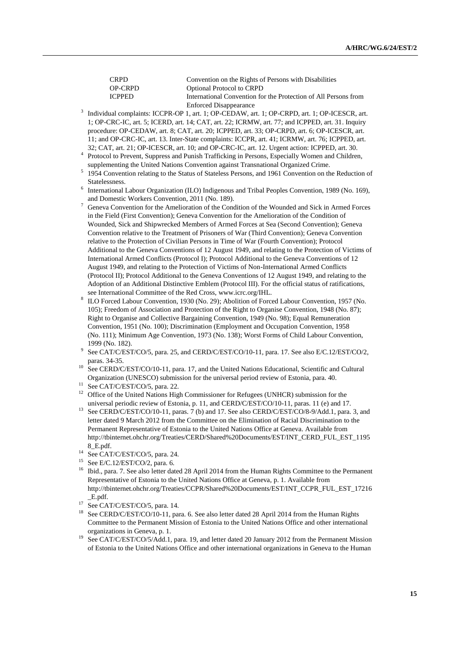| <b>CRPD</b>   | Convention on the Rights of Persons with Disabilities           |
|---------------|-----------------------------------------------------------------|
| OP-CRPD       | <b>Optional Protocol to CRPD</b>                                |
| <b>ICPPED</b> | International Convention for the Protection of All Persons from |
|               | <b>Enforced Disappearance</b>                                   |

- 3 Individual complaints: ICCPR-OP 1, art. 1; OP-CEDAW, art. 1; OP-CRPD, art. 1; OP-ICESCR, art. 1; OP-CRC-IC, art. 5; ICERD, art. 14; CAT, art. 22; ICRMW, art. 77; and ICPPED, art. 31. Inquiry procedure: OP-CEDAW, art. 8; CAT, art. 20; ICPPED, art. 33; OP-CRPD, art. 6; OP-ICESCR, art. 11; and OP-CRC-IC, art. 13. Inter-State complaints: ICCPR, art. 41; ICRMW, art. 76; ICPPED, art. 32; CAT, art. 21; OP-ICESCR, art. 10; and OP-CRC-IC, art. 12. Urgent action: ICPPED, art. 30.
- <sup>4</sup> Protocol to Prevent, Suppress and Punish Trafficking in Persons, Especially Women and Children, supplementing the United Nations Convention against Transnational Organized Crime.
- <sup>5</sup> 1954 Convention relating to the Status of Stateless Persons, and 1961 Convention on the Reduction of Statelessness.
- <sup>6</sup> International Labour Organization (ILO) Indigenous and Tribal Peoples Convention, 1989 (No. 169), and Domestic Workers Convention, 2011 (No. 189).
- <sup>7</sup> Geneva Convention for the Amelioration of the Condition of the Wounded and Sick in Armed Forces in the Field (First Convention); Geneva Convention for the Amelioration of the Condition of Wounded, Sick and Shipwrecked Members of Armed Forces at Sea (Second Convention); Geneva Convention relative to the Treatment of Prisoners of War (Third Convention); Geneva Convention relative to the Protection of Civilian Persons in Time of War (Fourth Convention); Protocol Additional to the Geneva Conventions of 12 August 1949, and relating to the Protection of Victims of International Armed Conflicts (Protocol I); Protocol Additional to the Geneva Conventions of 12 August 1949, and relating to the Protection of Victims of Non-International Armed Conflicts (Protocol II); Protocol Additional to the Geneva Conventions of 12 August 1949, and relating to the Adoption of an Additional Distinctive Emblem (Protocol III). For the official status of ratifications, see International Committee of the Red Cross, www.icrc.org/IHL.
- 8 ILO Forced Labour Convention, 1930 (No. 29); Abolition of Forced Labour Convention, 1957 (No. 105); Freedom of Association and Protection of the Right to Organise Convention, 1948 (No. 87); Right to Organise and Collective Bargaining Convention, 1949 (No. 98); Equal Remuneration Convention, 1951 (No. 100); Discrimination (Employment and Occupation Convention, 1958 (No. 111); Minimum Age Convention, 1973 (No. 138); Worst Forms of Child Labour Convention, 1999 (No. 182).
- 9 See CAT/C/EST/CO/5, para. 25, and CERD/C/EST/CO/10-11, para. 17. See also E/C.12/EST/CO/2, paras. 34-35.
- <sup>10</sup> See CERD/C/EST/CO/10-11, para. 17, and the United Nations Educational, Scientific and Cultural Organization (UNESCO) submission for the universal period review of Estonia, para. 40.
- $11$  See CAT/C/EST/CO/5, para. 22.
- <sup>12</sup> Office of the United Nations High Commissioner for Refugees (UNHCR) submission for the universal periodic review of Estonia, p. 11, and CERD/C/EST/CO/10-11, paras. 11 (e) and 17.
- <sup>13</sup> See CERD/C/EST/CO/10-11, paras. 7 (b) and 17. See also CERD/C/EST/CO/8-9/Add.1, para. 3, and letter dated 9 March 2012 from the Committee on the Elimination of Racial Discrimination to the Permanent Representative of Estonia to the United Nations Office at Geneva. Available from http://tbinternet.ohchr.org/Treaties/CERD/Shared%20Documents/EST/INT\_CERD\_FUL\_EST\_1195 8\_E.pdf.
- <sup>14</sup> See CAT/C/EST/CO/5, para. 24.
- <sup>15</sup> See E/C.12/EST/CO/2, para. 6.
- <sup>16</sup> Ibid., para. 7. See also letter dated 28 April 2014 from the Human Rights Committee to the Permanent Representative of Estonia to the United Nations Office at Geneva, p. 1. Available from [http://tbinternet.ohchr.org/Treaties/CCPR/Shared%20Documents/EST/INT\\_CCPR\\_FUL\\_EST\\_17216](http://tbinternet.ohchr.org/Treaties/CCPR/Shared%20Documents/EST/INT_CCPR_FUL_EST_17216_E.pdf) [\\_E.pdf.](http://tbinternet.ohchr.org/Treaties/CCPR/Shared%20Documents/EST/INT_CCPR_FUL_EST_17216_E.pdf)
- $^{17}$  See CAT/C/EST/CO/5, para. 14.
- <sup>18</sup> See CERD/C/EST/CO/10-11, para. 6. See also letter dated 28 April 2014 from the Human Rights Committee to the Permanent Mission of Estonia to the United Nations Office and other international organizations in Geneva, p. 1.
- See CAT/C/EST/CO/5/Add.1, para. 19, and letter dated 20 January 2012 from the Permanent Mission of Estonia to the United Nations Office and other international organizations in Geneva to the Human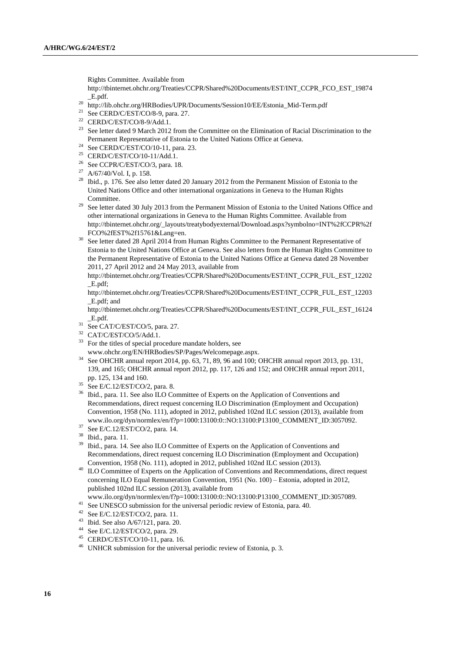Rights Committee. Available from

[http://tbinternet.ohchr.org/Treaties/CCPR/Shared%20Documents/EST/INT\\_CCPR\\_FCO\\_EST\\_19874](http://tbinternet.ohchr.org/Treaties/CCPR/Shared%20Documents/EST/INT_CCPR_FCO_EST_19874_E.pdf) [\\_E.pdf.](http://tbinternet.ohchr.org/Treaties/CCPR/Shared%20Documents/EST/INT_CCPR_FCO_EST_19874_E.pdf)

- <sup>20</sup> http://lib.ohchr.org/HRBodies/UPR/Documents/Session10/EE/Estonia\_Mid-Term.pdf
- See CERD/C/EST/CO/8-9, para. 27.
- <sup>22</sup> CERD/C/EST/CO/8-9/Add.1.
- <sup>23</sup> See letter dated 9 March 2012 from the Committee on the Elimination of Racial Discrimination to the Permanent Representative of Estonia to the United Nations Office at Geneva.
- <sup>24</sup> See CERD/C/EST/CO/10-11, para. 23.
- <sup>25</sup> CERD/C/EST/CO/10-11/Add.1.
- <sup>26</sup> See CCPR/C/EST/CO/3, para. 18.
- $27$  A/67/40/Vol. I, p. 158.
- <sup>28</sup> Ibid., p. 176. See also letter dated 20 January 2012 from the Permanent Mission of Estonia to the United Nations Office and other international organizations in Geneva to the Human Rights Committee.
- <sup>29</sup> See letter dated 30 July 2013 from the Permanent Mission of Estonia to the United Nations Office and other international organizations in Geneva to the Human Rights Committee. Available from [http://tbinternet.ohchr.org/\\_layouts/treatybodyexternal/Download.aspx?symbolno=INT%2fCCPR%2f](http://tbinternet.ohchr.org/_layouts/treatybodyexternal/Download.aspx?symbolno=INT%2fCCPR%2fFCO%2fEST%2f15761&Lang=en) [FCO%2fEST%2f15761&Lang=en.](http://tbinternet.ohchr.org/_layouts/treatybodyexternal/Download.aspx?symbolno=INT%2fCCPR%2fFCO%2fEST%2f15761&Lang=en)
- <sup>30</sup> See letter dated 28 April 2014 from Human Rights Committee to the Permanent Representative of Estonia to the United Nations Office at Geneva. See also letters from the Human Rights Committee to the Permanent Representative of Estonia to the United Nations Office at Geneva dated 28 November 2011, 27 April 2012 and 24 May 2013, available from

[http://tbinternet.ohchr.org/Treaties/CCPR/Shared%20Documents/EST/INT\\_CCPR\\_FUL\\_EST\\_12202](http://tbinternet.ohchr.org/Treaties/CCPR/Shared%20Documents/EST/INT_CCPR_FUL_EST_12202_E.pdf) [\\_E.pdf;](http://tbinternet.ohchr.org/Treaties/CCPR/Shared%20Documents/EST/INT_CCPR_FUL_EST_12202_E.pdf)

[http://tbinternet.ohchr.org/Treaties/CCPR/Shared%20Documents/EST/INT\\_CCPR\\_FUL\\_EST\\_12203](http://tbinternet.ohchr.org/Treaties/CCPR/Shared%20Documents/EST/INT_CCPR_FUL_EST_12203_E.pdf) [\\_E.pdf;](http://tbinternet.ohchr.org/Treaties/CCPR/Shared%20Documents/EST/INT_CCPR_FUL_EST_12203_E.pdf) and

http://tbinternet.ohchr.org/Treaties/CCPR/Shared%20Documents/EST/INT\_CCPR\_FUL\_EST\_16124 \_E.pdf.

- $31$  See CAT/C/EST/CO/5, para. 27.
- $^{32}$  CAT/C/EST/CO/5/Add.1.
- <sup>33</sup> For the titles of special procedure mandate holders, see
- www.ohchr.org/EN/HRBodies/SP/Pages/Welcomepage.aspx.
- <sup>34</sup> See OHCHR annual report 2014, pp. 63, 71, 89, 96 and 100; OHCHR annual report 2013, pp. 131, 139, and 165; OHCHR annual report 2012, pp. 117, 126 and 152; and OHCHR annual report 2011, pp. 125, 134 and 160.
- <sup>35</sup> See E/C.12/EST/CO/2, para. 8.
- <sup>36</sup> Ibid., para. 11. See also ILO Committee of Experts on the Application of Conventions and Recommendations, direct request concerning ILO Discrimination (Employment and Occupation) Convention, 1958 (No. 111), adopted in 2012, published 102nd ILC session (2013), available from www.ilo.org/dyn/normlex/en/f?p=1000:13100:0::NO:13100:P13100\_COMMENT\_ID:3057092.
- $37$  See E/C.12/EST/CO/2, para. 14.
- <sup>38</sup> Ibid., para. 11.
- <sup>39</sup> Ibid., para. 14. See also ILO Committee of Experts on the Application of Conventions and Recommendations, direct request concerning ILO Discrimination (Employment and Occupation) Convention, 1958 (No. 111), adopted in 2012, published 102nd ILC session (2013).
- <sup>40</sup> ILO Committee of Experts on the Application of Conventions and Recommendations, direct request concerning ILO Equal Remuneration Convention, 1951 (No. 100) – Estonia, adopted in 2012, published 102nd ILC session (2013), available from
- www.ilo.org/dyn/normlex/en/f?p=1000:13100:0::NO:13100:P13100\_COMMENT\_ID:3057089.
- <sup>41</sup> See UNESCO submission for the universal periodic review of Estonia, para. 40.
- <sup>42</sup> See E/C.12/EST/CO/2, para. 11.
- <sup>43</sup> Ibid. See also A/67/121, para. 20.
- See E/C.12/EST/CO/2, para. 29.
- <sup>45</sup> CERD/C/EST/CO/10-11, para. 16.
- <sup>46</sup> UNHCR submission for the universal periodic review of Estonia, p. 3.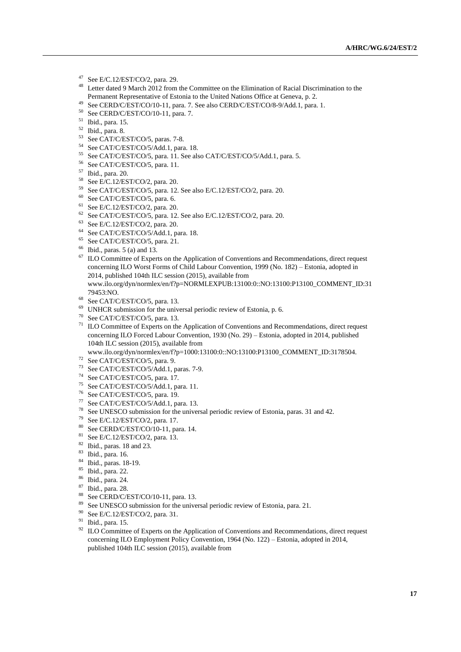- <sup>47</sup> See E/C.12/EST/CO/2, para. 29.
- <sup>48</sup> Letter dated 9 March 2012 from the Committee on the Elimination of Racial Discrimination to the Permanent Representative of Estonia to the United Nations Office at Geneva, p. 2.
- <sup>49</sup> See CERD/C/EST/CO/10-11, para. 7. See also CERD/C/EST/CO/8-9/Add.1, para. 1.<br><sup>50</sup> See CERD/C/EST/CO/10-11 para. 7
- See CERD/C/EST/CO/10-11, para. 7.
- <sup>51</sup> Ibid., para. 15.
- $\frac{52}{53}$  Ibid., para. 8.
- See CAT/C/EST/CO/5, paras. 7-8.
- <sup>54</sup> See CAT/C/EST/CO/5/Add.1, para. 18.
- <sup>55</sup> See CAT/C/EST/CO/5, para. 11. See also CAT/C/EST/CO/5/Add.1, para. 5.
- <sup>56</sup> See CAT/C/EST/CO/5, para. 11.
- <sup>57</sup> Ibid., para. 20.
- <sup>58</sup> See E/C.12/EST/CO/2, para. 20.
- <sup>59</sup> See CAT/C/EST/CO/5, para. 12. See also E/C.12/EST/CO/2, para. 20.
- $60$  See CAT/C/EST/CO/5, para. 6.
- <sup>61</sup> See E/C.12/EST/CO/2, para. 20.
- $62$  See CAT/C/EST/CO/5, para. 12. See also E/C.12/EST/CO/2, para. 20.
- <sup>63</sup> See E/C.12/EST/CO/2, para. 20.
- <sup>64</sup> See CAT/C/EST/CO/5/Add.1, para. 18.
- <sup>65</sup> See CAT/C/EST/CO/5, para. 21.
- $66$  Ibid., paras. 5 (a) and 13.
- <sup>67</sup> ILO Committee of Experts on the Application of Conventions and Recommendations, direct request concerning ILO Worst Forms of Child Labour Convention, 1999 (No. 182) – Estonia, adopted in 2014, published 104th ILC session (2015), available from www.ilo.org/dyn/normlex/en/f?p=NORMLEXPUB:13100:0::NO:13100:P13100\_COMMENT\_ID:31
- 79453:NO. <sup>68</sup> See CAT/C/EST/CO/5, para. 13.
- <sup>69</sup> UNHCR submission for the universal periodic review of Estonia, p. 6.<br><sup>70</sup> See CAT/C/EST/CO/5, para 13
- <sup>70</sup> See CAT/C/EST/CO/5, para. 13.<br><sup>71</sup> H O Committee of Europes on the
- <sup>71</sup> ILO Committee of Experts on the Application of Conventions and Recommendations, direct request concerning ILO Forced Labour Convention, 1930 (No. 29) – Estonia, adopted in 2014, published 104th ILC session (2015), available from

www.ilo.org/dyn/normlex/en/f?p=1000:13100:0::NO:13100:P13100\_COMMENT\_ID:3178504.

- <sup>72</sup> See CAT/C/EST/CO/5, para. 9.
- <sup>73</sup> See CAT/C/EST/CO/5/Add.1, paras. 7-9.
- <sup>74</sup> See CAT/C/EST/CO/5, para. 17.
- <sup>75</sup> See CAT/C/EST/CO/5/Add.1, para. 11.
- <sup>76</sup> See CAT/C/EST/CO/5, para. 19.
- <sup>77</sup> See CAT/C/EST/CO/5/Add.1, para. 13.
- <sup>78</sup> See UNESCO submission for the universal periodic review of Estonia, paras. 31 and 42.
- <sup>79</sup> See E/C.12/EST/CO/2, para. 17.
- <sup>80</sup> See CERD/C/EST/CO/10-11, para. 14.
- <sup>81</sup> See E/C.12/EST/CO/2, para. 13.
- $\frac{82}{83}$  Ibid., paras. 18 and 23.
- Ibid., para. 16.
- <sup>84</sup> Ibid., paras. 18-19.
- $\frac{85}{86}$  Ibid., para. 22.
- Ibid., para. 24.
- $\frac{87}{88}$  Ibid., para. 28.
- <sup>88</sup> See CERD/C/EST/CO/10-11, para. 13.<br><sup>89</sup> See UNESCO submission for the univers
- <sup>89</sup> See UNESCO submission for the universal periodic review of Estonia, para. 21.<br><sup>90</sup> See E/C 12/EST/CO/2, para. 31
- See E/C.12/EST/CO/2, para. 31.
- <sup>91</sup> Ibid., para. 15.
- ILO Committee of Experts on the Application of Conventions and Recommendations, direct request concerning ILO Employment Policy Convention, 1964 (No. 122) – Estonia, adopted in 2014, published 104th ILC session (2015), available from